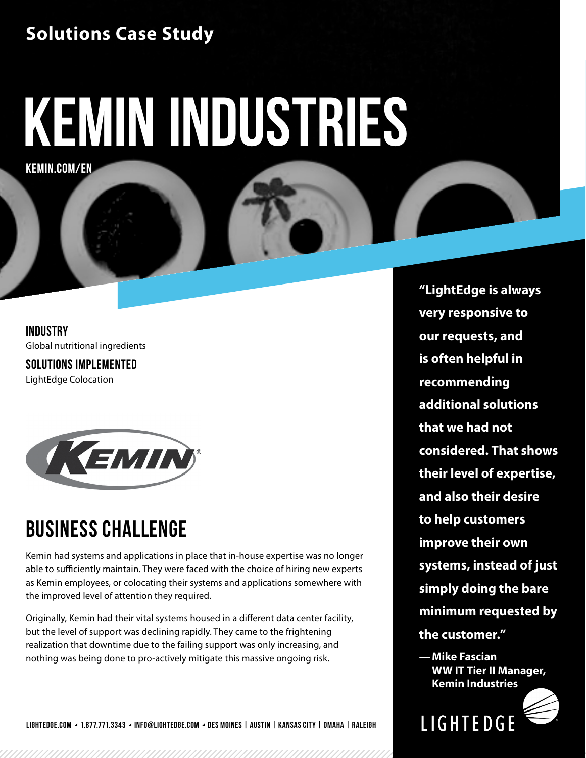# **Solutions Case Study**

# **Kemin industries**

**KEMIN.COM/EN**

**INDUSTRY** Global nutritional ingredients

**SOLUTIONS IMPLEMENTED** LightEdge Colocation



# **BUSINESS CHALLENGE**

Kemin had systems and applications in place that in-house expertise was no longer able to sufficiently maintain. They were faced with the choice of hiring new experts as Kemin employees, or colocating their systems and applications somewhere with the improved level of attention they required.

Originally, Kemin had their vital systems housed in a different data center facility, but the level of support was declining rapidly. They came to the frightening realization that downtime due to the failing support was only increasing, and nothing was being done to pro-actively mitigate this massive ongoing risk.

**LIGHTEDGE.COM 1.877.771.3343 INFO@LIGHTEDGE.COM DES MOINES | AUSTIN | KANSAS CITY | OMAHA | RALEIGH**

**"LightEdge is always very responsive to our requests, and is often helpful in recommending additional solutions that we had not considered. That shows their level of expertise, and also their desire to help customers improve their own systems, instead of just simply doing the bare minimum requested by the customer."**

**—Mike Fascian WW IT Tier II Manager, Kemin Industries**